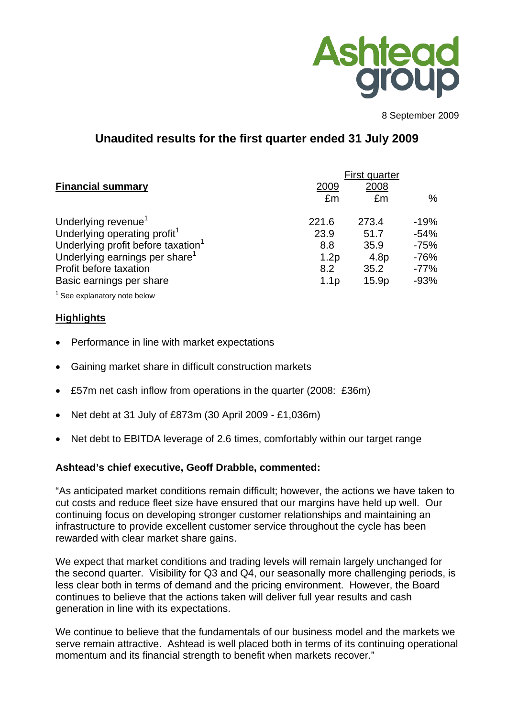

8 September 2009

# **Unaudited results for the first quarter ended 31 July 2009**

|                                                |                  | First quarter     |        |
|------------------------------------------------|------------------|-------------------|--------|
| <b>Financial summary</b>                       | 2009             | 2008              |        |
|                                                | £m               | £m                | %      |
| Underlying revenue <sup>1</sup>                | 221.6            | 273.4             | $-19%$ |
| Underlying operating profit <sup>1</sup>       | 23.9             | 51.7              | $-54%$ |
| Underlying profit before taxation <sup>1</sup> | 8.8              | 35.9              | $-75%$ |
| Underlying earnings per share <sup>1</sup>     | 1.2p             | 4.8 <sub>p</sub>  | $-76%$ |
| Profit before taxation                         | 8.2              | 35.2              | $-77%$ |
| Basic earnings per share                       | 1.1 <sub>p</sub> | 15.9 <sub>p</sub> | $-93%$ |
|                                                |                  |                   |        |

 $1$  See explanatory note below

## **Highlights**

- Performance in line with market expectations
- Gaining market share in difficult construction markets
- £57m net cash inflow from operations in the quarter (2008: £36m)
- Net debt at 31 July of £873m (30 April 2009 £1,036m)
- Net debt to EBITDA leverage of 2.6 times, comfortably within our target range

## **Ashtead's chief executive, Geoff Drabble, commented:**

"As anticipated market conditions remain difficult; however, the actions we have taken to cut costs and reduce fleet size have ensured that our margins have held up well. Our continuing focus on developing stronger customer relationships and maintaining an infrastructure to provide excellent customer service throughout the cycle has been rewarded with clear market share gains.

We expect that market conditions and trading levels will remain largely unchanged for the second quarter. Visibility for Q3 and Q4, our seasonally more challenging periods, is less clear both in terms of demand and the pricing environment. However, the Board continues to believe that the actions taken will deliver full year results and cash generation in line with its expectations.

We continue to believe that the fundamentals of our business model and the markets we serve remain attractive. Ashtead is well placed both in terms of its continuing operational momentum and its financial strength to benefit when markets recover."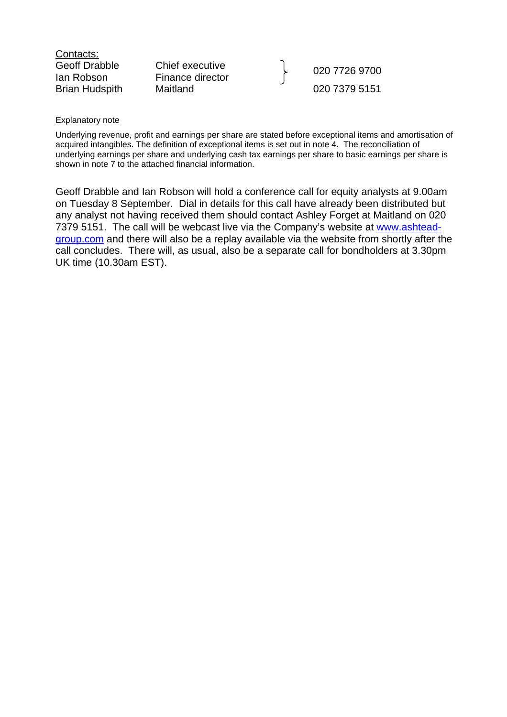| Contacts:             |
|-----------------------|
| Geoff Drabble         |
| lan Robson            |
| <b>Brian Hudspith</b> |

Chief executive

Lonel executive<br>
Finance director **Finance** director Brian Hudspith Maitland 020 7379 5151

#### Explanatory note

Underlying revenue, profit and earnings per share are stated before exceptional items and amortisation of acquired intangibles. The definition of exceptional items is set out in note 4. The reconciliation of underlying earnings per share and underlying cash tax earnings per share to basic earnings per share is shown in note 7 to the attached financial information.

Geoff Drabble and Ian Robson will hold a conference call for equity analysts at 9.00am on Tuesday 8 September. Dial in details for this call have already been distributed but any analyst not having received them should contact Ashley Forget at Maitland on 020 7379 5151. The call will be webcast live via the Company's website at [www.ashtead](http://www.ashtead-group.com/)[group.com](http://www.ashtead-group.com/) and there will also be a replay available via the website from shortly after the call concludes. There will, as usual, also be a separate call for bondholders at 3.30pm UK time (10.30am EST).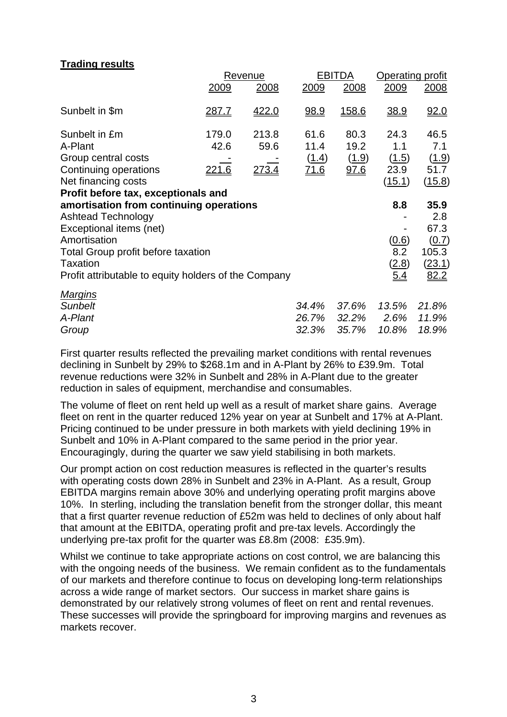## **Trading results**

|                                                      |               | Revenue       |             | <b>EBITDA</b> | <b>Operating profit</b> |        |
|------------------------------------------------------|---------------|---------------|-------------|---------------|-------------------------|--------|
|                                                      | 2009          | 2008          | 2009        | 2008          | 2009                    | 2008   |
| Sunbelt in \$m                                       | <u>287.7</u>  | 422.0         | <u>98.9</u> | <u>158.6</u>  | <u>38.9</u>             | 92.0   |
| Sunbelt in £m                                        | 179.0         | 213.8         | 61.6        | 80.3          | 24.3                    | 46.5   |
| A-Plant                                              | 42.6          | 59.6          | 11.4        | 19.2          | 1.1                     | 7.1    |
| Group central costs                                  |               |               | (1.4)       | (1.9)         | (1.5)                   | (1.9)  |
| Continuing operations                                | <u> 221.6</u> | <u> 273.4</u> | <u>71.6</u> | 97.6          | 23.9                    | 51.7   |
| Net financing costs                                  |               |               |             |               | (15.1)                  | (15.8) |
| Profit before tax, exceptionals and                  |               |               |             |               |                         |        |
| amortisation from continuing operations              |               |               |             |               | 8.8                     | 35.9   |
| <b>Ashtead Technology</b>                            |               |               |             |               |                         | 2.8    |
| Exceptional items (net)                              |               |               |             |               |                         | 67.3   |
| Amortisation                                         |               |               |             |               | (0.6)                   | (0.7)  |
| Total Group profit before taxation                   |               |               |             |               | 8.2                     | 105.3  |
| Taxation                                             |               |               |             |               | (2.8)                   | (23.1) |
| Profit attributable to equity holders of the Company |               |               |             |               | 5.4                     | 82.2   |
| <b>Margins</b>                                       |               |               |             |               |                         |        |
| <b>Sunbelt</b>                                       |               |               | 34.4%       | 37.6%         | 13.5%                   | 21.8%  |
| A-Plant                                              |               |               | 26.7%       | 32.2%         | 2.6%                    | 11.9%  |
| Group                                                |               |               | 32.3%       | 35.7%         | 10.8%                   | 18.9%  |

First quarter results reflected the prevailing market conditions with rental revenues declining in Sunbelt by 29% to \$268.1m and in A-Plant by 26% to £39.9m. Total revenue reductions were 32% in Sunbelt and 28% in A-Plant due to the greater reduction in sales of equipment, merchandise and consumables.

The volume of fleet on rent held up well as a result of market share gains. Average fleet on rent in the quarter reduced 12% year on year at Sunbelt and 17% at A-Plant. Pricing continued to be under pressure in both markets with yield declining 19% in Sunbelt and 10% in A-Plant compared to the same period in the prior year. Encouragingly, during the quarter we saw yield stabilising in both markets.

Our prompt action on cost reduction measures is reflected in the quarter's results with operating costs down 28% in Sunbelt and 23% in A-Plant. As a result, Group EBITDA margins remain above 30% and underlying operating profit margins above 10%. In sterling, including the translation benefit from the stronger dollar, this meant that a first quarter revenue reduction of £52m was held to declines of only about half that amount at the EBITDA, operating profit and pre-tax levels. Accordingly the underlying pre-tax profit for the quarter was £8.8m (2008: £35.9m).

Whilst we continue to take appropriate actions on cost control, we are balancing this with the ongoing needs of the business. We remain confident as to the fundamentals of our markets and therefore continue to focus on developing long-term relationships across a wide range of market sectors. Our success in market share gains is demonstrated by our relatively strong volumes of fleet on rent and rental revenues. These successes will provide the springboard for improving margins and revenues as markets recover.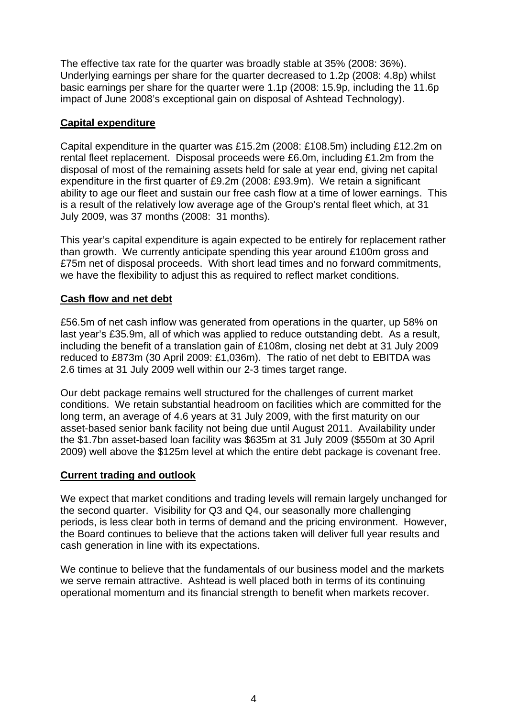The effective tax rate for the quarter was broadly stable at 35% (2008: 36%). Underlying earnings per share for the quarter decreased to 1.2p (2008: 4.8p) whilst basic earnings per share for the quarter were 1.1p (2008: 15.9p, including the 11.6p impact of June 2008's exceptional gain on disposal of Ashtead Technology).

## **Capital expenditure**

Capital expenditure in the quarter was £15.2m (2008: £108.5m) including £12.2m on rental fleet replacement. Disposal proceeds were £6.0m, including £1.2m from the disposal of most of the remaining assets held for sale at year end, giving net capital expenditure in the first quarter of £9.2m (2008: £93.9m). We retain a significant ability to age our fleet and sustain our free cash flow at a time of lower earnings. This is a result of the relatively low average age of the Group's rental fleet which, at 31 July 2009, was 37 months (2008: 31 months).

This year's capital expenditure is again expected to be entirely for replacement rather than growth. We currently anticipate spending this year around £100m gross and £75m net of disposal proceeds. With short lead times and no forward commitments, we have the flexibility to adjust this as required to reflect market conditions.

## **Cash flow and net debt**

£56.5m of net cash inflow was generated from operations in the quarter, up 58% on last year's £35.9m, all of which was applied to reduce outstanding debt. As a result, including the benefit of a translation gain of £108m, closing net debt at 31 July 2009 reduced to £873m (30 April 2009: £1,036m). The ratio of net debt to EBITDA was 2.6 times at 31 July 2009 well within our 2-3 times target range.

Our debt package remains well structured for the challenges of current market conditions. We retain substantial headroom on facilities which are committed for the long term, an average of 4.6 years at 31 July 2009, with the first maturity on our asset-based senior bank facility not being due until August 2011. Availability under the \$1.7bn asset-based loan facility was \$635m at 31 July 2009 (\$550m at 30 April 2009) well above the \$125m level at which the entire debt package is covenant free.

## **Current trading and outlook**

We expect that market conditions and trading levels will remain largely unchanged for the second quarter. Visibility for Q3 and Q4, our seasonally more challenging periods, is less clear both in terms of demand and the pricing environment. However, the Board continues to believe that the actions taken will deliver full year results and cash generation in line with its expectations.

We continue to believe that the fundamentals of our business model and the markets we serve remain attractive. Ashtead is well placed both in terms of its continuing operational momentum and its financial strength to benefit when markets recover.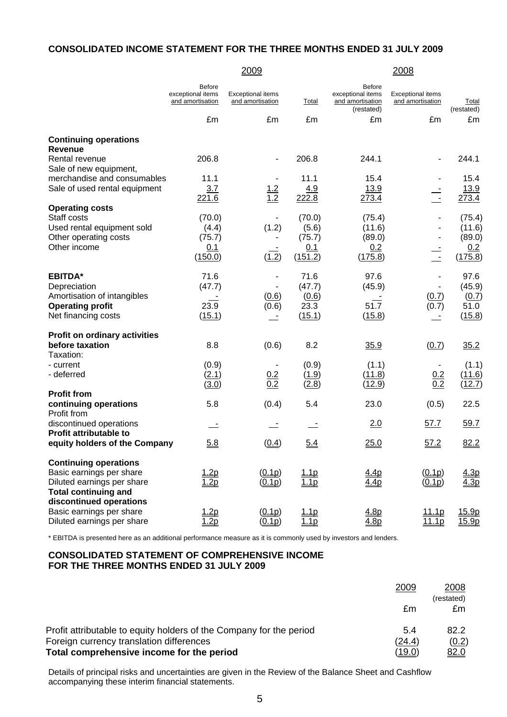#### **CONSOLIDATED INCOME STATEMENT FOR THE THREE MONTHS ENDED 31 JULY 2009**

|                                                                                                                                                  |                                                        | <u> 2009</u>                                 |                                             |                                                                      | 2008                                         |                                              |
|--------------------------------------------------------------------------------------------------------------------------------------------------|--------------------------------------------------------|----------------------------------------------|---------------------------------------------|----------------------------------------------------------------------|----------------------------------------------|----------------------------------------------|
|                                                                                                                                                  | <b>Before</b><br>exceptional items<br>and amortisation | <b>Exceptional items</b><br>and amortisation | Total                                       | <b>Before</b><br>exceptional items<br>and amortisation<br>(restated) | <b>Exceptional items</b><br>and amortisation | Total<br>(restated)                          |
|                                                                                                                                                  | £m                                                     | £m                                           | £m                                          | £m                                                                   | £m                                           | £m                                           |
| <b>Continuing operations</b><br><b>Revenue</b>                                                                                                   |                                                        |                                              |                                             |                                                                      |                                              |                                              |
| Rental revenue<br>Sale of new equipment,                                                                                                         | 206.8                                                  | $\overline{\phantom{a}}$                     | 206.8                                       | 244.1                                                                | $\blacksquare$                               | 244.1                                        |
| merchandise and consumables<br>Sale of used rental equipment                                                                                     | 11.1<br>3.7<br>221.6                                   | $\frac{1.2}{1.2}$                            | 11.1<br>4.9<br>222.8                        | 15.4<br><u>13.9</u><br>273.4                                         | $\frac{1}{2}$                                | 15.4<br><u>13.9</u><br>273.4                 |
| <b>Operating costs</b><br>Staff costs<br>Used rental equipment sold<br>Other operating costs<br>Other income                                     | (70.0)<br>(4.4)<br>(75.7)<br>0.1<br>(150.0)            | (1.2)<br>(1.2)                               | (70.0)<br>(5.6)<br>(75.7)<br>0.1<br>(151.2) | (75.4)<br>(11.6)<br>(89.0)<br>0.2<br>(175.8)                         | $\mathbf{r}$                                 | (75.4)<br>(11.6)<br>(89.0)<br>0.2<br>(175.8) |
| <b>EBITDA*</b><br>Depreciation<br>Amortisation of intangibles<br><b>Operating profit</b><br>Net financing costs                                  | 71.6<br>(47.7)<br>23.9<br>(15.1)                       | (0.6)<br>(0.6)<br>$\equiv$                   | 71.6<br>(47.7)<br>(0.6)<br>23.3<br>(15.1)   | 97.6<br>(45.9)<br>51.7<br>(15.8)                                     | $\blacksquare$<br>(0.7)<br>(0.7)             | 97.6<br>(45.9)<br>(0.7)<br>51.0<br>(15.8)    |
| <b>Profit on ordinary activities</b><br>before taxation<br>Taxation:                                                                             | 8.8                                                    | (0.6)                                        | 8.2                                         | 35.9                                                                 | (0.7)                                        | 35.2                                         |
| - current<br>- deferred                                                                                                                          | (0.9)<br>(2.1)<br>(3.0)                                | $\frac{0.2}{0.2}$                            | (0.9)<br>(1.9)<br>(2.8)                     | (1.1)<br>(11.8)<br>(12.9)                                            | $\frac{0.2}{0.2}$                            | (1.1)<br>(11.6)<br>(12.7)                    |
| <b>Profit from</b><br>continuing operations<br>Profit from                                                                                       | 5.8                                                    | (0.4)                                        | 5.4                                         | 23.0                                                                 | (0.5)                                        | 22.5                                         |
| discontinued operations<br><b>Profit attributable to</b>                                                                                         | <u>.</u>                                               | $\overline{\phantom{a}}$                     |                                             | 2.0                                                                  | 57.7                                         | 59.7                                         |
| equity holders of the Company                                                                                                                    | 5.8                                                    | (0.4)                                        | 5.4                                         | 25.0                                                                 | 57.2                                         | 82.2                                         |
| <b>Continuing operations</b><br>Basic earnings per share<br>Diluted earnings per share<br><b>Total continuing and</b><br>discontinued operations | 1.2p<br>1.2p                                           | (0.1p)<br>(0.1p)                             | <u>1.1p</u><br>1.1p                         | 4.4p<br>4.4p                                                         | (0.1p)<br>(0.1p)                             | 4.3p<br>4.3p                                 |
| Basic earnings per share<br>Diluted earnings per share                                                                                           | $\frac{1.2p}{1.2p}$                                    | (0.1p)<br>(0.1p)                             | $\frac{1.1p}{1.1p}$                         | 4.8p<br>4.8p                                                         | 11.1p<br>11.1p                               | 15.9p<br>15.9p                               |

\* EBITDA is presented here as an additional performance measure as it is commonly used by investors and lenders.

#### **CONSOLIDATED STATEMENT OF COMPREHENSIVE INCOME FOR THE THREE MONTHS ENDED 31 JULY 2009**

|                                                                     | 2009          | <u>2008</u><br>(restated) |
|---------------------------------------------------------------------|---------------|---------------------------|
|                                                                     | £m            | £m                        |
| Profit attributable to equity holders of the Company for the period | 5.4           | 82.2                      |
| Foreign currency translation differences                            | (24.4)        | (0.2)                     |
| Total comprehensive income for the period                           | <u>(19.0)</u> | <u>82.0</u>               |

Details of principal risks and uncertainties are given in the Review of the Balance Sheet and Cashflow accompanying these interim financial statements.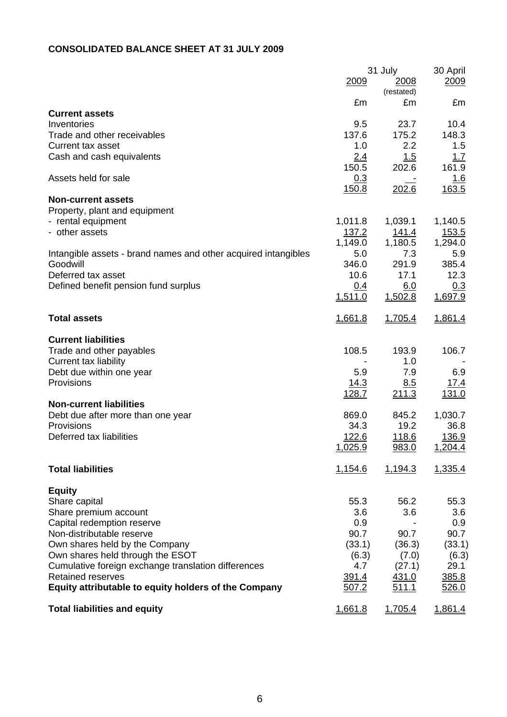## **CONSOLIDATED BALANCE SHEET AT 31 JULY 2009**

|                                                                |                | 31 July            | 30 April     |
|----------------------------------------------------------------|----------------|--------------------|--------------|
|                                                                | 2009           | 2008<br>(restated) | 2009         |
| <b>Current assets</b>                                          | £m             | £m                 | £m           |
| Inventories                                                    | 9.5            | 23.7               | 10.4         |
| Trade and other receivables                                    | 137.6          | 175.2              | 148.3        |
| Current tax asset                                              | 1.0            | 2.2                | 1.5          |
| Cash and cash equivalents                                      | 2.4            | 1.5                | 1.7          |
|                                                                | 150.5          | 202.6              | 161.9        |
| Assets held for sale                                           | 0.3            |                    | <u>1.6</u>   |
|                                                                | 150.8          | 202.6              | 163.5        |
| <b>Non-current assets</b>                                      |                |                    |              |
| Property, plant and equipment                                  |                |                    |              |
| - rental equipment                                             | 1,011.8        | 1,039.1            | 1,140.5      |
| - other assets                                                 | 137.2          | <u> 141.4</u>      | <u>153.5</u> |
|                                                                | 1,149.0        | 1,180.5            | 1,294.0      |
| Intangible assets - brand names and other acquired intangibles | 5.0            | 7.3                | 5.9          |
| Goodwill                                                       | 346.0          | 291.9              | 385.4        |
| Deferred tax asset                                             | 10.6           | 17.1               | 12.3         |
| Defined benefit pension fund surplus                           | 0.4            | 6.0                | 0.3          |
|                                                                | 1,511.0        | 1,502.8            | 1,697.9      |
|                                                                |                |                    |              |
| <b>Total assets</b>                                            | <u>1,661.8</u> | 1,705.4            | 1,861.4      |
|                                                                |                |                    |              |
| <b>Current liabilities</b>                                     |                |                    |              |
| Trade and other payables                                       | 108.5          | 193.9              | 106.7        |
| <b>Current tax liability</b>                                   |                | 1.0                |              |
| Debt due within one year                                       | 5.9            | 7.9                | 6.9          |
| Provisions                                                     | <u>14.3</u>    | 8.5                | 17.4         |
|                                                                | <u>128.7</u>   | 211.3              | <u>131.0</u> |
| <b>Non-current liabilities</b>                                 |                |                    |              |
| Debt due after more than one year                              | 869.0          | 845.2              | 1,030.7      |
| Provisions                                                     | 34.3           | 19.2               | 36.8         |
| Deferred tax liabilities                                       | <u>122.6</u>   | <u>118.6</u>       | 136.9        |
|                                                                | 1,025.9        | 983.0              | 1,204.4      |
| <b>Total liabilities</b>                                       | 1,154.6        | 1,194.3            | 1,335.4      |
|                                                                |                |                    |              |
| <b>Equity</b>                                                  |                |                    |              |
| Share capital                                                  | 55.3           | 56.2               | 55.3         |
| Share premium account                                          | 3.6            | 3.6                | 3.6          |
| Capital redemption reserve                                     | 0.9            |                    | 0.9          |
| Non-distributable reserve                                      | 90.7           | 90.7               | 90.7         |
| Own shares held by the Company                                 | (33.1)         | (36.3)             | (33.1)       |
| Own shares held through the ESOT                               | (6.3)          | (7.0)              | (6.3)        |
| Cumulative foreign exchange translation differences            | 4.7            | (27.1)             | 29.1         |
| <b>Retained reserves</b>                                       | 391.4          | 431.0              | 385.8        |
| Equity attributable to equity holders of the Company           | 507.2          | 511.1              | 526.0        |
|                                                                |                |                    |              |
| <b>Total liabilities and equity</b>                            | <u>1,661.8</u> | 1,705.4            | 1,861.4      |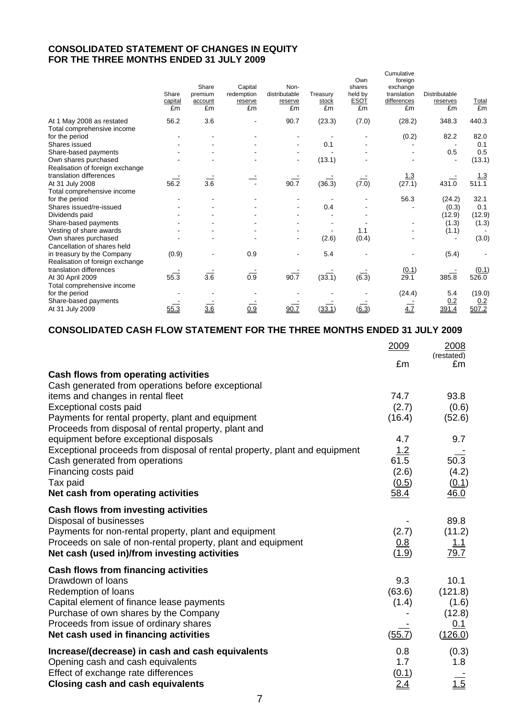### **CONSOLIDATED STATEMENT OF CHANGES IN EQUITY FOR THE THREE MONTHS ENDED 31 JULY 2009**

|                                 | Share<br>capital<br>£m | Share<br>premium<br>account<br>£m | Capital<br>redemption<br>reserve<br>£m | Non-<br>distributable<br>reserve<br>£m | Treasury<br>stock<br>£m | Own<br>shares<br>held by<br><b>ESOT</b><br>£m | Cumulative<br>foreign<br>exchange<br>translation<br>differences<br>£m | <b>Distributable</b><br>reserves<br>£m | Total<br>£m |
|---------------------------------|------------------------|-----------------------------------|----------------------------------------|----------------------------------------|-------------------------|-----------------------------------------------|-----------------------------------------------------------------------|----------------------------------------|-------------|
| At 1 May 2008 as restated       | 56.2                   | 3.6                               |                                        | 90.7                                   | (23.3)                  | (7.0)                                         | (28.2)                                                                | 348.3                                  | 440.3       |
| Total comprehensive income      |                        |                                   |                                        |                                        |                         |                                               |                                                                       |                                        |             |
| for the period                  |                        |                                   |                                        |                                        |                         |                                               | (0.2)                                                                 | 82.2                                   | 82.0        |
| Shares issued                   |                        |                                   |                                        |                                        | 0.1                     |                                               |                                                                       |                                        | 0.1         |
| Share-based payments            |                        |                                   |                                        |                                        |                         |                                               |                                                                       | 0.5                                    | 0.5         |
| Own shares purchased            |                        |                                   |                                        |                                        | (13.1)                  |                                               |                                                                       |                                        | (13.1)      |
| Realisation of foreign exchange |                        |                                   |                                        |                                        |                         |                                               |                                                                       |                                        |             |
| translation differences         |                        |                                   |                                        |                                        |                         |                                               | $\frac{1.3}{(27.1)}$                                                  |                                        | 1.3         |
| At 31 July 2008                 | 56.2                   | $\overline{3.6}$                  |                                        | 90.7                                   | (36.3)                  | (7.0)                                         |                                                                       | 431.0                                  | 511.1       |
| Total comprehensive income      |                        |                                   |                                        |                                        |                         |                                               |                                                                       |                                        |             |
| for the period                  |                        |                                   |                                        |                                        |                         |                                               | 56.3                                                                  | (24.2)                                 | 32.1        |
| Shares issued/re-issued         |                        |                                   |                                        |                                        | 0.4                     |                                               |                                                                       | (0.3)                                  | 0.1         |
| Dividends paid                  |                        |                                   |                                        |                                        |                         |                                               |                                                                       | (12.9)                                 | (12.9)      |
| Share-based payments            |                        |                                   |                                        |                                        |                         |                                               |                                                                       | (1.3)                                  | (1.3)       |
| Vesting of share awards         |                        |                                   |                                        |                                        |                         | 1.1                                           |                                                                       | (1.1)                                  |             |
| Own shares purchased            |                        |                                   |                                        |                                        | (2.6)                   | (0.4)                                         |                                                                       |                                        | (3.0)       |
| Cancellation of shares held     |                        |                                   |                                        |                                        |                         |                                               |                                                                       |                                        |             |
| in treasury by the Company      | (0.9)                  |                                   | 0.9                                    |                                        | 5.4                     |                                               |                                                                       | (5.4)                                  |             |
| Realisation of foreign exchange |                        |                                   |                                        |                                        |                         |                                               |                                                                       |                                        |             |
| translation differences         |                        |                                   |                                        |                                        |                         |                                               | (0.1)                                                                 |                                        | (0.1)       |
| At 30 April 2009                | 55.3                   | $\overline{3.6}$                  | $\overline{0.9}$                       | 90.7                                   | (33.1)                  | $(\overline{6.3})$                            | 29.1                                                                  | 385.8                                  | 526.0       |
| Total comprehensive income      |                        |                                   |                                        |                                        |                         |                                               |                                                                       |                                        |             |
| for the period                  |                        |                                   |                                        |                                        |                         |                                               | (24.4)                                                                | 5.4                                    | (19.0)      |
| Share-based payments            |                        |                                   |                                        |                                        |                         |                                               |                                                                       | 0.2                                    | 0.2         |
| At 31 July 2009                 | 55.3                   | 3.6                               | 0.9                                    | 90.7                                   | (33.1)                  | (6.3)                                         | 4.7                                                                   | 391.4                                  | 507.2       |
|                                 |                        |                                   |                                        |                                        |                         |                                               |                                                                       |                                        |             |

### **CONSOLIDATED CASH FLOW STATEMENT FOR THE THREE MONTHS ENDED 31 JULY 2009**

|                                                                            | 2009       | 2008<br>(restated) |
|----------------------------------------------------------------------------|------------|--------------------|
|                                                                            | £m         | £m                 |
| Cash flows from operating activities                                       |            |                    |
| Cash generated from operations before exceptional                          |            |                    |
| items and changes in rental fleet                                          | 74.7       | 93.8               |
| Exceptional costs paid                                                     | (2.7)      | (0.6)              |
| Payments for rental property, plant and equipment                          | (16.4)     | (52.6)             |
| Proceeds from disposal of rental property, plant and                       |            |                    |
| equipment before exceptional disposals                                     | 4.7        | 9.7                |
| Exceptional proceeds from disposal of rental property, plant and equipment | 1.2        |                    |
| Cash generated from operations                                             | 61.5       | 50.3               |
| Financing costs paid                                                       | (2.6)      | (4.2)              |
| Tax paid<br>Net cash from operating activities                             | (0.5)      | (0.1)<br>46.0      |
|                                                                            | 58.4       |                    |
| Cash flows from investing activities                                       |            |                    |
| Disposal of businesses                                                     |            | 89.8               |
| Payments for non-rental property, plant and equipment                      | (2.7)      | (11.2)             |
| Proceeds on sale of non-rental property, plant and equipment               | 0.8        | <u> 1.1</u>        |
| Net cash (used in)/from investing activities                               | (1.9)      | 79.7               |
| <b>Cash flows from financing activities</b>                                |            |                    |
| Drawdown of loans                                                          | 9.3        | 10.1               |
| Redemption of loans                                                        | (63.6)     | (121.8)            |
| Capital element of finance lease payments                                  | (1.4)      | (1.6)              |
| Purchase of own shares by the Company                                      |            | (12.8)             |
| Proceeds from issue of ordinary shares                                     |            | 0.1                |
| Net cash used in financing activities                                      | (55.7)     | (126.0)            |
| Increase/(decrease) in cash and cash equivalents                           | 0.8        | (0.3)              |
| Opening cash and cash equivalents                                          | 1.7        | 1.8                |
| Effect of exchange rate differences                                        | (0.1)      |                    |
| <b>Closing cash and cash equivalents</b>                                   | <u>2.4</u> | 1.5                |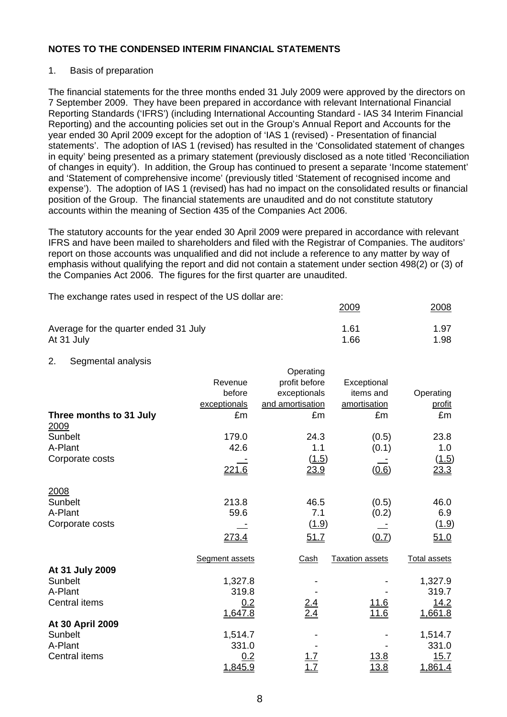#### 1. Basis of preparation

The financial statements for the three months ended 31 July 2009 were approved by the directors on 7 September 2009. They have been prepared in accordance with relevant International Financial Reporting Standards ('IFRS') (including International Accounting Standard - IAS 34 Interim Financial Reporting) and the accounting policies set out in the Group's Annual Report and Accounts for the year ended 30 April 2009 except for the adoption of 'IAS 1 (revised) - Presentation of financial statements'. The adoption of IAS 1 (revised) has resulted in the 'Consolidated statement of changes in equity' being presented as a primary statement (previously disclosed as a note titled 'Reconciliation of changes in equity'). In addition, the Group has continued to present a separate 'Income statement' and 'Statement of comprehensive income' (previously titled 'Statement of recognised income and expense'). The adoption of IAS 1 (revised) has had no impact on the consolidated results or financial position of the Group. The financial statements are unaudited and do not constitute statutory accounts within the meaning of Section 435 of the Companies Act 2006.

The statutory accounts for the year ended 30 April 2009 were prepared in accordance with relevant IFRS and have been mailed to shareholders and filed with the Registrar of Companies. The auditors' report on those accounts was unqualified and did not include a reference to any matter by way of emphasis without qualifying the report and did not contain a statement under section 498(2) or (3) of the Companies Act 2006. The figures for the first quarter are unaudited.

The exchange rates used in respect of the US dollar are:

| Average for the quarter ended 31 July | 1.61 | 1.97 |
|---------------------------------------|------|------|
| At 31 July                            | 1.66 | 1.98 |

2009 2008

2. Segmental analysis

|                                 |                | Operating         |                        |                     |
|---------------------------------|----------------|-------------------|------------------------|---------------------|
|                                 | Revenue        | profit before     | Exceptional            |                     |
|                                 | before         | exceptionals      | items and              | Operating           |
|                                 | exceptionals   | and amortisation  | amortisation           | profit              |
| Three months to 31 July<br>2009 | £m             | £m                | £m                     | £m                  |
| Sunbelt                         | 179.0          | 24.3              | (0.5)                  | 23.8                |
| A-Plant                         | 42.6           | 1.1               | (0.1)                  | 1.0                 |
| Corporate costs                 |                | (1.5)             |                        | (1.5)               |
|                                 | <u> 221.6</u>  | 23.9              | (0.6)                  | 23.3                |
| 2008                            |                |                   |                        |                     |
| Sunbelt                         | 213.8          | 46.5              | (0.5)                  | 46.0                |
| A-Plant                         | 59.6           | 7.1               | (0.2)                  | 6.9                 |
| Corporate costs                 |                | (1.9)             |                        | (1.9)               |
|                                 | <u>273.4</u>   | 51.7              | (0.7)                  | 51.0                |
|                                 | Segment assets | Cash              | <b>Taxation assets</b> | <b>Total assets</b> |
| At 31 July 2009                 |                |                   |                        |                     |
| Sunbelt                         | 1,327.8        |                   |                        | 1,327.9             |
| A-Plant                         | 319.8          |                   |                        | 319.7               |
| Central items                   | 0.2            | $\frac{2.4}{2.4}$ | <u> 11.6</u>           | <u>14.2</u>         |
|                                 | 1,647.8        |                   | <u>11.6</u>            | 1,661.8             |
| At 30 April 2009                |                |                   |                        |                     |
| Sunbelt                         | 1,514.7        |                   |                        | 1,514.7             |
| A-Plant                         | 331.0          |                   |                        | 331.0               |
| Central items                   | 0.2            |                   | 13.8                   | 15.7                |
|                                 | 1,845.9        |                   | <u>13.8</u>            | 1,861.4             |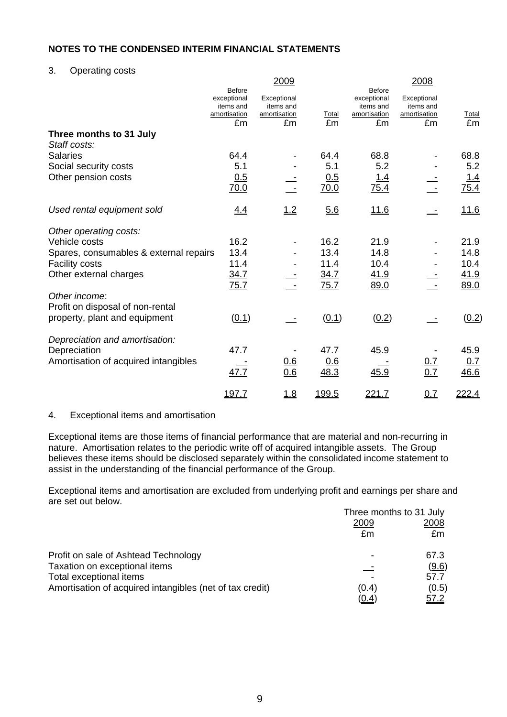### 3. Operating costs

|                                         |                                                           | 2009                                     |              |                                                           | 2008                                     |             |
|-----------------------------------------|-----------------------------------------------------------|------------------------------------------|--------------|-----------------------------------------------------------|------------------------------------------|-------------|
|                                         | <b>Before</b><br>exceptional<br>items and<br>amortisation | Exceptional<br>items and<br>amortisation | Total        | <b>Before</b><br>exceptional<br>items and<br>amortisation | Exceptional<br>items and<br>amortisation | Total       |
|                                         | £m                                                        | £m                                       | £m           | £m                                                        | £m                                       | £m          |
| Three months to 31 July<br>Staff costs: |                                                           |                                          |              |                                                           |                                          |             |
| <b>Salaries</b>                         | 64.4                                                      |                                          | 64.4         | 68.8                                                      |                                          | 68.8        |
| Social security costs                   | 5.1                                                       |                                          | 5.1          | 5.2                                                       |                                          | 5.2         |
| Other pension costs                     | 0.5<br>70.0                                               |                                          | 0.5<br>70.0  | <u>1.4</u><br>75.4                                        |                                          | 1.4<br>75.4 |
| Used rental equipment sold              | 4.4                                                       | 1.2                                      | 5.6          | 11.6                                                      |                                          | 11.6        |
| Other operating costs:                  |                                                           |                                          |              |                                                           |                                          |             |
| Vehicle costs                           | 16.2                                                      |                                          | 16.2         | 21.9                                                      |                                          | 21.9        |
| Spares, consumables & external repairs  | 13.4                                                      |                                          | 13.4         | 14.8                                                      |                                          | 14.8        |
| <b>Facility costs</b>                   | 11.4                                                      |                                          | 11.4         | 10.4                                                      |                                          | 10.4        |
| Other external charges                  | 34.7                                                      |                                          | 34.7         | 41.9                                                      |                                          | <u>41.9</u> |
| Other income:                           | 75.7                                                      |                                          | 75.7         | 89.0                                                      |                                          | 89.0        |
| Profit on disposal of non-rental        |                                                           |                                          |              |                                                           |                                          |             |
| property, plant and equipment           | (0.1)                                                     |                                          | (0.1)        | (0.2)                                                     |                                          | (0.2)       |
| Depreciation and amortisation:          |                                                           |                                          |              |                                                           |                                          |             |
| Depreciation                            | 47.7                                                      |                                          | 47.7         | 45.9                                                      |                                          | 45.9        |
| Amortisation of acquired intangibles    | 47.7                                                      | <u>0.6</u><br>0.6                        | 0.6<br>48.3  | 45.9                                                      | $\frac{0.7}{0.7}$                        | 0.7<br>46.6 |
|                                         | <u>197.7</u>                                              | <u>1.8</u>                               | <u>199.5</u> | 221.7                                                     | 0.7                                      | 222.4       |

#### 4. Exceptional items and amortisation

Exceptional items are those items of financial performance that are material and non-recurring in nature. Amortisation relates to the periodic write off of acquired intangible assets. The Group believes these items should be disclosed separately within the consolidated income statement to assist in the understanding of the financial performance of the Group.

Exceptional items and amortisation are excluded from underlying profit and earnings per share and are set out below.

|                                                          | Three months to 31 July |             |  |
|----------------------------------------------------------|-------------------------|-------------|--|
|                                                          | 2009                    | 2008        |  |
|                                                          | £m                      | £m          |  |
| Profit on sale of Ashtead Technology                     |                         | 67.3        |  |
| Taxation on exceptional items                            |                         | (9.6)       |  |
| Total exceptional items                                  |                         | 57.7        |  |
| Amortisation of acquired intangibles (net of tax credit) | <u>(0.4)</u>            | (0.5)       |  |
|                                                          | <u>(0.4</u>             | <u>57.2</u> |  |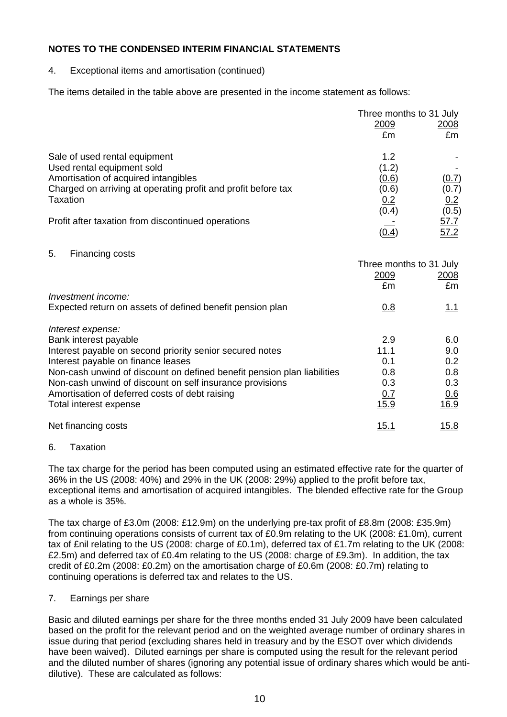4. Exceptional items and amortisation (continued)

The items detailed in the table above are presented in the income statement as follows:

|                                                               | Three months to 31 July |                     |  |
|---------------------------------------------------------------|-------------------------|---------------------|--|
|                                                               | <u>2009</u>             | <u> 2008 </u>       |  |
|                                                               | £m                      | £m                  |  |
| Sale of used rental equipment                                 | 1.2                     |                     |  |
| Used rental equipment sold                                    | (1.2)                   |                     |  |
| Amortisation of acquired intangibles                          | (0.6)                   | (0.7)               |  |
| Charged on arriving at operating profit and profit before tax | (0.6)                   | (0.7)               |  |
| Taxation                                                      | <u>0.2</u>              | 0.2                 |  |
|                                                               | (0.4)                   | (0.5)               |  |
| Profit after taxation from discontinued operations            |                         | $\frac{57.7}{57.2}$ |  |
|                                                               | <u>(0.4)</u>            |                     |  |
| 5.<br>Financing costs                                         |                         |                     |  |
|                                                               | Three months to 31 July |                     |  |
|                                                               | <u>2009</u>             | <u>2008</u>         |  |
|                                                               | £m                      | £m                  |  |
| Investment income:                                            |                         |                     |  |
| Expected return on assets of defined benefit pension plan     | 0.8                     | <u>1.1</u>          |  |
| Interest expense:                                             |                         |                     |  |
| Bank interest payable                                         | 2.9                     | 6.0                 |  |
| ومئمور اموسيومو موزومو ببئسونس امعوموه ويمرما وإمراض ومعمدون  | 44 A                    | <u>ດ ດ</u>          |  |

| Interest payable on second priority senior secured notes                | 11.1         | 9.0          |
|-------------------------------------------------------------------------|--------------|--------------|
| Interest payable on finance leases                                      | 0.1          | 0.2          |
| Non-cash unwind of discount on defined benefit pension plan liabilities | 0.8          | 0.8          |
| Non-cash unwind of discount on self insurance provisions                | 0.3          | 0.3          |
| Amortisation of deferred costs of debt raising                          | 0.7          | 0.6          |
| Total interest expense                                                  | <u>15.9</u>  | <u>16.9</u>  |
| Net financing costs                                                     | <u> 15.1</u> | <u> 15.8</u> |

#### 6. Taxation

The tax charge for the period has been computed using an estimated effective rate for the quarter of 36% in the US (2008: 40%) and 29% in the UK (2008: 29%) applied to the profit before tax, exceptional items and amortisation of acquired intangibles. The blended effective rate for the Group as a whole is 35%.

The tax charge of £3.0m (2008: £12.9m) on the underlying pre-tax profit of £8.8m (2008: £35.9m) from continuing operations consists of current tax of £0.9m relating to the UK (2008: £1.0m), current tax of £nil relating to the US (2008: charge of £0.1m), deferred tax of £1.7m relating to the UK (2008: £2.5m) and deferred tax of £0.4m relating to the US (2008: charge of £9.3m). In addition, the tax credit of £0.2m (2008: £0.2m) on the amortisation charge of £0.6m (2008: £0.7m) relating to continuing operations is deferred tax and relates to the US.

#### 7. Earnings per share

Basic and diluted earnings per share for the three months ended 31 July 2009 have been calculated based on the profit for the relevant period and on the weighted average number of ordinary shares in issue during that period (excluding shares held in treasury and by the ESOT over which dividends have been waived). Diluted earnings per share is computed using the result for the relevant period and the diluted number of shares (ignoring any potential issue of ordinary shares which would be antidilutive). These are calculated as follows: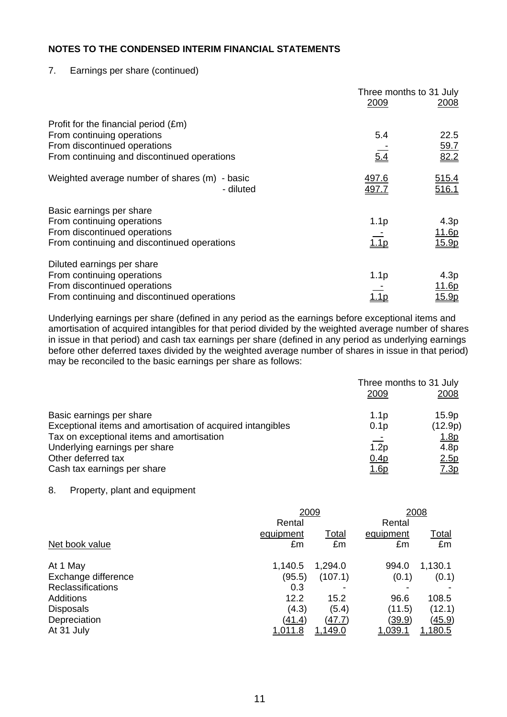7. Earnings per share (continued)

|                                                               | Three months to 31 July |                |
|---------------------------------------------------------------|-------------------------|----------------|
|                                                               | 2009                    | 2008           |
| Profit for the financial period (£m)                          |                         |                |
| From continuing operations                                    | 5.4                     | 22.5           |
| From discontinued operations                                  |                         | <u>59.7</u>    |
| From continuing and discontinued operations                   | 5.4                     | 82.2           |
| Weighted average number of shares (m)<br>- basic<br>- diluted | 497.6<br>497.7          | 515.4<br>516.1 |
| Basic earnings per share                                      |                         |                |
| From continuing operations                                    | 1.1 <sub>p</sub>        | 4.3p           |
| From discontinued operations                                  |                         | 11.6p          |
| From continuing and discontinued operations                   | 1.1 <sub>p</sub>        | 15.9p          |
| Diluted earnings per share                                    |                         |                |
| From continuing operations                                    | 1.1 <sub>p</sub>        | 4.3p           |
| From discontinued operations                                  |                         | <u> 11.6p</u>  |
| From continuing and discontinued operations                   | $\overline{1.1p}$       | <u> 15.9p</u>  |

Underlying earnings per share (defined in any period as the earnings before exceptional items and amortisation of acquired intangibles for that period divided by the weighted average number of shares in issue in that period) and cash tax earnings per share (defined in any period as underlying earnings before other deferred taxes divided by the weighted average number of shares in issue in that period) may be reconciled to the basic earnings per share as follows:

|                                                            | Three months to 31 July |                  |  |
|------------------------------------------------------------|-------------------------|------------------|--|
|                                                            | 2009                    | 2008             |  |
| Basic earnings per share                                   | 1.1 <sub>p</sub>        | 15.9p            |  |
| Exceptional items and amortisation of acquired intangibles | 0.1 <sub>p</sub>        | (12.9p)          |  |
| Tax on exceptional items and amortisation                  |                         | <u>1.8p</u>      |  |
| Underlying earnings per share                              | 1.2p                    | 4.8 <sub>p</sub> |  |
| Other deferred tax                                         | 0.4p                    | 2.5p             |  |
| Cash tax earnings per share                                | <u>1.6p</u>             | 7.3p             |  |

#### 8. Property, plant and equipment

|                          | 2009           |                | 2008          |                |  |
|--------------------------|----------------|----------------|---------------|----------------|--|
|                          | Rental         |                | Rental        |                |  |
|                          | equipment      | Total          | equipment     | <u>Total</u>   |  |
| Net book value           | £m             | £m             | £m            | £m             |  |
| At 1 May                 | 1,140.5        | 1,294.0        | 994.0         | 1,130.1        |  |
| Exchange difference      | (95.5)         | (107.1)        | (0.1)         | (0.1)          |  |
| <b>Reclassifications</b> | 0.3            | ۰              |               |                |  |
| <b>Additions</b>         | 12.2           | 15.2           | 96.6          | 108.5          |  |
| <b>Disposals</b>         | (4.3)          | (5.4)          | (11.5)        | (12.1)         |  |
| Depreciation             | (41.4)         | <u>(47.7)</u>  | <u>(39.9)</u> | <u>(45.9)</u>  |  |
| At 31 July               | <u>1.011.8</u> | <u>1,149.0</u> | 1,039.1       | <u>1,180.5</u> |  |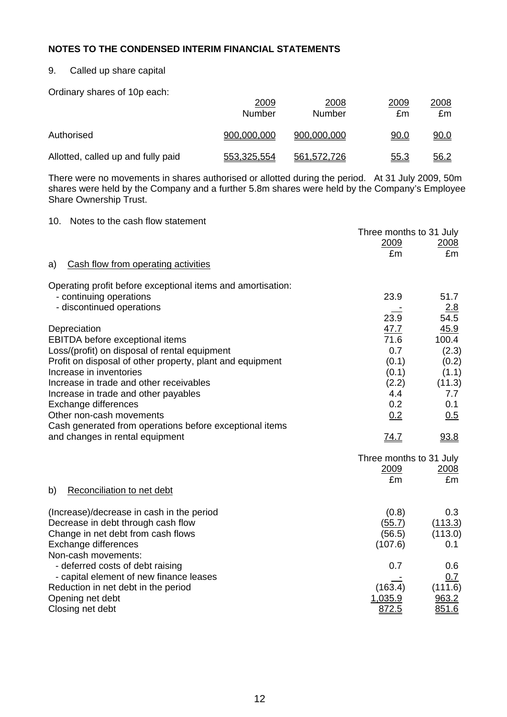### 9. Called up share capital

Ordinary shares of 10p each:

|                                    | 2009<br>Number | 2008<br>Number | 2009<br>£m  | 2008<br>£m  |
|------------------------------------|----------------|----------------|-------------|-------------|
| Authorised                         | 900,000,000    | 900,000,000    | <u>90.0</u> | <u>90.0</u> |
| Allotted, called up and fully paid | 553,325,554    | 561,572,726    | 55.3        | <u>56.2</u> |

There were no movements in shares authorised or allotted during the period. At 31 July 2009, 50m shares were held by the Company and a further 5.8m shares were held by the Company's Employee Share Ownership Trust.

| Notes to the cash flow statement<br>10.                     |                         |         |
|-------------------------------------------------------------|-------------------------|---------|
|                                                             | Three months to 31 July |         |
|                                                             | 2009                    | 2008    |
|                                                             | £m                      | £m      |
| Cash flow from operating activities<br>a)                   |                         |         |
| Operating profit before exceptional items and amortisation: |                         |         |
| - continuing operations                                     | 23.9                    | 51.7    |
| - discontinued operations                                   |                         | 2.8     |
|                                                             | 23.9                    | 54.5    |
| Depreciation                                                | 47.7                    | 45.9    |
| <b>EBITDA</b> before exceptional items                      | 71.6                    | 100.4   |
| Loss/(profit) on disposal of rental equipment               | 0.7                     | (2.3)   |
| Profit on disposal of other property, plant and equipment   | (0.1)                   | (0.2)   |
| Increase in inventories                                     | (0.1)                   | (1.1)   |
| Increase in trade and other receivables                     | (2.2)                   | (11.3)  |
| Increase in trade and other payables                        | 4.4                     | 7.7     |
| Exchange differences                                        | 0.2                     | 0.1     |
| Other non-cash movements                                    | 0.2                     | 0.5     |
| Cash generated from operations before exceptional items     |                         |         |
| and changes in rental equipment                             | <u>74.7</u>             | 93.8    |
|                                                             | Three months to 31 July |         |
|                                                             | 2009                    | 2008    |
|                                                             | £m                      | £m      |
| Reconciliation to net debt<br>b)                            |                         |         |
| (Increase)/decrease in cash in the period                   | (0.8)                   | 0.3     |
| Decrease in debt through cash flow                          | (55.7)                  | (113.3) |
| Change in net debt from cash flows                          | (56.5)                  | (113.0) |
| Exchange differences                                        | (107.6)                 | 0.1     |
| Non-cash movements:                                         |                         |         |
| - deferred costs of debt raising                            | 0.7                     | 0.6     |
| - capital element of new finance leases                     |                         | 0.7     |
| Reduction in net debt in the period                         | (163.4)                 | (111.6) |
| Opening net debt                                            | 1,035.9                 | 963.2   |
| Closing net debt                                            | 872.5                   | 851.6   |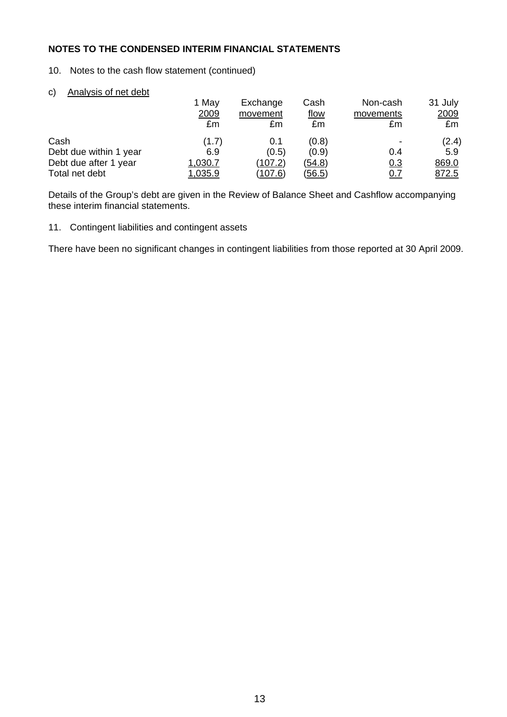- 10. Notes to the cash flow statement (continued)
- c) Analysis of net debt

|                        | 1 May   | Exchange       | Cash          | Non-cash   | 31 July |
|------------------------|---------|----------------|---------------|------------|---------|
|                        | 2009    | movement       | <u>flow</u>   | movements  | 2009    |
|                        | £m      | £m             | £m            | £m         | £m      |
| Cash                   | (1.7)   | 0.1            | (0.8)         |            | (2.4)   |
| Debt due within 1 year | 6.9     | (0.5)          | (0.9)         | 0.4        | 5.9     |
| Debt due after 1 year  | 1,030.7 | <u>(107.2)</u> | <u>(54.8)</u> | 0.3        | 869.0   |
| Total net debt         | 1,035.9 | <u>(107.6)</u> | <u>(56.5)</u> | <u>0.7</u> | 872.5   |

Details of the Group's debt are given in the Review of Balance Sheet and Cashflow accompanying these interim financial statements.

11. Contingent liabilities and contingent assets

There have been no significant changes in contingent liabilities from those reported at 30 April 2009.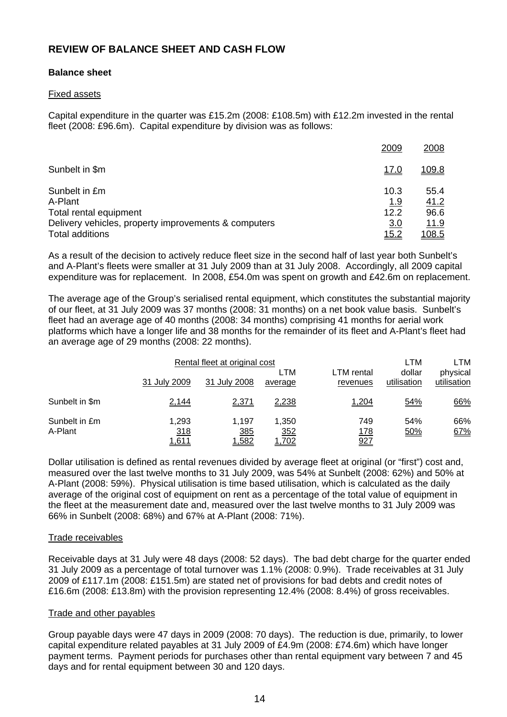## **REVIEW OF BALANCE SHEET AND CASH FLOW**

#### **Balance sheet**

#### Fixed assets

Capital expenditure in the quarter was £15.2m (2008: £108.5m) with £12.2m invested in the rental fleet (2008: £96.6m). Capital expenditure by division was as follows:

|                                                      | 2009         | 2008          |
|------------------------------------------------------|--------------|---------------|
| Sunbelt in \$m                                       | <u>17.0</u>  | <u>109.8</u>  |
| Sunbelt in £m                                        | 10.3         | 55.4          |
| A-Plant                                              | <u>1.9</u>   | 41.2          |
| Total rental equipment                               | 12.2         | 96.6          |
| Delivery vehicles, property improvements & computers | 3.0          | <u> 11.9</u>  |
| <b>Total additions</b>                               | <u> 15.2</u> | <u> 108.5</u> |

As a result of the decision to actively reduce fleet size in the second half of last year both Sunbelt's and A-Plant's fleets were smaller at 31 July 2009 than at 31 July 2008. Accordingly, all 2009 capital expenditure was for replacement. In 2008, £54.0m was spent on growth and £42.6m on replacement.

The average age of the Group's serialised rental equipment, which constitutes the substantial majority of our fleet, at 31 July 2009 was 37 months (2008: 31 months) on a net book value basis. Sunbelt's fleet had an average age of 40 months (2008: 34 months) comprising 41 months for aerial work platforms which have a longer life and 38 months for the remainder of its fleet and A-Plant's fleet had an average age of 29 months (2008: 22 months).

|                          |                              | Rental fleet at original cost |                              |                          | LTM                   | LTM                     |
|--------------------------|------------------------------|-------------------------------|------------------------------|--------------------------|-----------------------|-------------------------|
|                          | 31 July 2009                 | 31 July 2008                  | LTM<br>average               | LTM rental<br>revenues   | dollar<br>utilisation | physical<br>utilisation |
| Sunbelt in \$m           | 2,144                        | 2,371                         | 2,238                        | 1,204                    | 54%                   | 66%                     |
| Sunbelt in £m<br>A-Plant | 1,293<br>318<br><u>1,611</u> | 1.197<br>385<br>1,582         | 1,350<br><u>352</u><br>1,702 | 749<br><u>178</u><br>927 | 54%<br>50%            | 66%<br>67%              |

Dollar utilisation is defined as rental revenues divided by average fleet at original (or "first") cost and, measured over the last twelve months to 31 July 2009, was 54% at Sunbelt (2008: 62%) and 50% at A-Plant (2008: 59%). Physical utilisation is time based utilisation, which is calculated as the daily average of the original cost of equipment on rent as a percentage of the total value of equipment in the fleet at the measurement date and, measured over the last twelve months to 31 July 2009 was 66% in Sunbelt (2008: 68%) and 67% at A-Plant (2008: 71%).

#### Trade receivables

Receivable days at 31 July were 48 days (2008: 52 days). The bad debt charge for the quarter ended 31 July 2009 as a percentage of total turnover was 1.1% (2008: 0.9%). Trade receivables at 31 July 2009 of £117.1m (2008: £151.5m) are stated net of provisions for bad debts and credit notes of £16.6m (2008: £13.8m) with the provision representing 12.4% (2008: 8.4%) of gross receivables.

#### Trade and other payables

Group payable days were 47 days in 2009 (2008: 70 days). The reduction is due, primarily, to lower capital expenditure related payables at 31 July 2009 of £4.9m (2008: £74.6m) which have longer payment terms. Payment periods for purchases other than rental equipment vary between 7 and 45 days and for rental equipment between 30 and 120 days.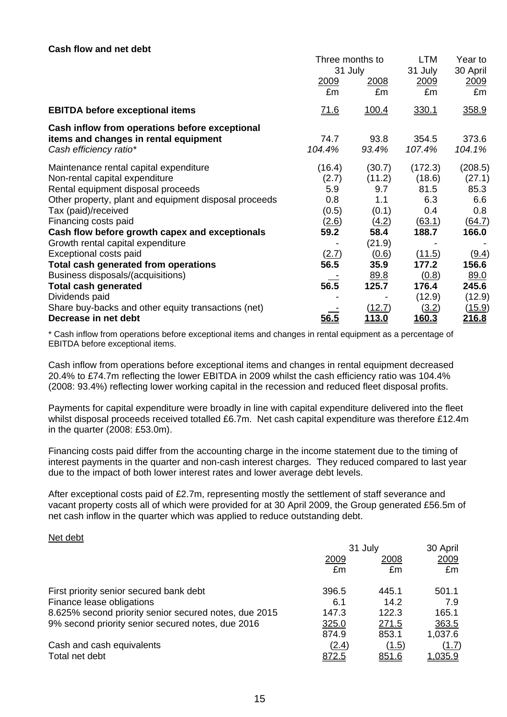#### **Cash flow and net debt**

|                                                                                                                    | Three months to<br>31 July |                         | LTM<br>31 July           | Year to<br>30 April              |
|--------------------------------------------------------------------------------------------------------------------|----------------------------|-------------------------|--------------------------|----------------------------------|
|                                                                                                                    | 2009<br>£m                 | <u>2008</u><br>£m       | 2009<br>£m               | 2009<br>£m                       |
| <b>EBITDA before exceptional items</b>                                                                             | <u>71.6</u>                | 100.4                   | 330.1                    | 358.9                            |
| Cash inflow from operations before exceptional<br>items and changes in rental equipment<br>Cash efficiency ratio*  | 74.7<br>104.4%             | 93.8<br>93.4%           | 354.5<br>107.4%          | 373.6<br>104.1%                  |
| Maintenance rental capital expenditure<br>Non-rental capital expenditure                                           | (16.4)<br>(2.7)            | (30.7)<br>(11.2)        | (172.3)<br>(18.6)        | (208.5)<br>(27.1)                |
| Rental equipment disposal proceeds<br>Other property, plant and equipment disposal proceeds<br>Tax (paid)/received | 5.9<br>0.8<br>(0.5)        | 9.7<br>1.1<br>(0.1)     | 81.5<br>6.3<br>0.4       | 85.3<br>6.6<br>0.8               |
| Financing costs paid<br>Cash flow before growth capex and exceptionals                                             | (2.6)<br>59.2              | (4.2)<br>58.4           | (63.1)<br>188.7          | (64.7)<br>166.0                  |
| Growth rental capital expenditure<br>Exceptional costs paid                                                        | <u>(2.7)</u><br>56.5       | (21.9)<br>(0.6)<br>35.9 | (11.5)<br>177.2          | (9.4)<br>156.6                   |
| <b>Total cash generated from operations</b><br>Business disposals/(acquisitions)<br><b>Total cash generated</b>    | 56.5                       | 89.8<br>125.7           | (0.8)<br>176.4           | 89.0<br>245.6                    |
| Dividends paid<br>Share buy-backs and other equity transactions (net)<br>Decrease in net debt                      | 56.5                       | (12.7)<br>113.0         | (12.9)<br>(3.2)<br>160.3 | (12.9)<br><u>(15.9)</u><br>216.8 |
|                                                                                                                    |                            |                         |                          |                                  |

\* Cash inflow from operations before exceptional items and changes in rental equipment as a percentage of EBITDA before exceptional items.

Cash inflow from operations before exceptional items and changes in rental equipment decreased 20.4% to £74.7m reflecting the lower EBITDA in 2009 whilst the cash efficiency ratio was 104.4% (2008: 93.4%) reflecting lower working capital in the recession and reduced fleet disposal profits.

Payments for capital expenditure were broadly in line with capital expenditure delivered into the fleet whilst disposal proceeds received totalled £6.7m. Net cash capital expenditure was therefore £12.4m in the quarter (2008: £53.0m).

Financing costs paid differ from the accounting charge in the income statement due to the timing of interest payments in the quarter and non-cash interest charges. They reduced compared to last year due to the impact of both lower interest rates and lower average debt levels.

After exceptional costs paid of £2.7m, representing mostly the settlement of staff severance and vacant property costs all of which were provided for at 30 April 2009, the Group generated £56.5m of net cash inflow in the quarter which was applied to reduce outstanding debt.

#### Net debt

|                                                       | 31 July |              | 30 April       |
|-------------------------------------------------------|---------|--------------|----------------|
|                                                       | 2009    | 2008         | 2009           |
|                                                       | £m      | £m           | £m             |
| First priority senior secured bank debt               | 396.5   | 445.1        | 501.1          |
| Finance lease obligations                             | 6.1     | 14.2         | 7.9            |
| 8.625% second priority senior secured notes, due 2015 | 147.3   | 122.3        | 165.1          |
| 9% second priority senior secured notes, due 2016     | 325.0   | 271.5        | 363.5          |
|                                                       | 874.9   | 853.1        | 1,037.6        |
| Cash and cash equivalents                             | (2.4)   | (1.5)        | (1.7)          |
| Total net debt                                        | 872.5   | <u>851.6</u> | <u>1,035.9</u> |